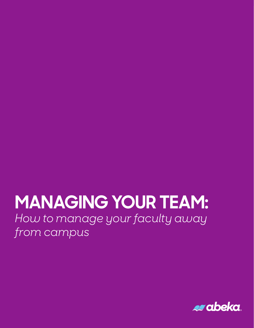# **MANAGING YOUR TEAM:** *How to manage your faculty away from campus*

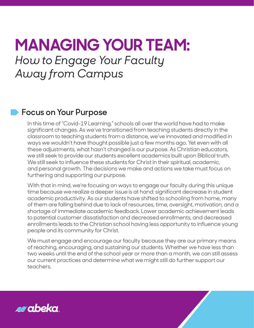## **MANAGING YOUR TEAM:**  *How to Engage Your Faculty Away from Campus*

### **Focus on Your Purpose**

In this time of "Covid-19 Learning," schools all over the world have had to make significant changes. As we've transitioned from teaching students directly in the classroom to teaching students from a distance, we've innovated and modified in ways we wouldn't have thought possible just a few months ago. Yet even with all these adjustments, what hasn't changed is our purpose. As Christian educators, we still seek to provide our students excellent academics built upon Biblical truth. We still seek to influence these students for Christ in their spiritual, academic, and personal growth. The decisions we make and actions we take must focus on furthering and supporting our purpose.

With that in mind, we're focusing on ways to engage our faculty during this unique time because we realize a deeper issue is at hand: significant decrease in student academic productivity. As our students have shifted to schooling from home, many of them are falling behind due to lack of resources, time, oversight, motivation, and a shortage of immediate academic feedback. Lower academic achievement leads to potential customer dissatisfaction and decreased enrollments, and decreased enrollments leads to the Christian school having less opportunity to influence young people and its community for Christ.

We must engage and encourage our faculty because they are our primary means of reaching, encouraging, and sustaining our students. Whether we have less than two weeks until the end of the school year or more than a month, we can still assess our current practices and determine what we might still do further support our teachers.

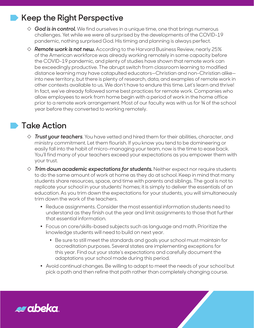### **Keep the Right Perspective**

- $\diamond$  **God is in control.** We find ourselves in a unique time, one that brings numerous challenges. Yet while we were all surprised by the developments of the COVID-19 pandemic, nothing surprised God. His timing and planning is always perfect.
- $\diamond$  **Remote work is not new.** According to the Harvard Business Review, nearly 25% of the American workforce was already working remotely in some capacity before the COVID-19 pandemic, and plenty of studies have shown that remote work can be exceedingly productive. The abrupt switch from classroom learning to modified distance learning may have catapulted educators—Christian and non-Christian alike into new territory, but there is plenty of research, data, and examples of remote work in other contexts available to us. We don't have to endure this time. Let's learn and thrive! In fact, we've already followed some best practices for remote work. Companies who allow employees to work from home begin with a period of work in the home office prior to a remote work arrangement. Most of our faculty was with us for ¾ of the school year before they converted to working remotely.

### **Take Action**

- ◊ *Trust your teachers*. You have vetted and hired them for their abilities, character, and ministry commitment. Let them flourish. If you know you tend to be domineering or easily fall into the habit of micro-managing your team, now is the time to ease back. You'll find many of your teachers exceed your expectations as you empower them with your trust.
- $\Diamond$  *Trim down academic expectations for students.* Neither expect nor require students to do the same amount of work at home as they do at school. Keep in mind that many students share resources, space, and time with parents and siblings. The goal is not to replicate your school in your students' homes; it is simply to deliver the essentials of an education. As you trim down the expectations for your students, you will simultaneously trim down the work of the teachers.
	- Reduce assignments. Consider the most essential information students need to understand as they finish out the year and limit assignments to those that further that essential information.
	- Focus on core/skills-based subjects such as language and math. Prioritize the knowledge students will need to build on next year.
		- Be sure to still meet the standards and goals your school must maintain for accreditation purposes. Several states are implementing exceptions for this year. Find out your state's expectations and carefully document the adaptations your school made during this period.
	- Avoid continual changes. Be willing to adapt to meet the needs of your school but pick a path and then refine that path rather than completely changing course.

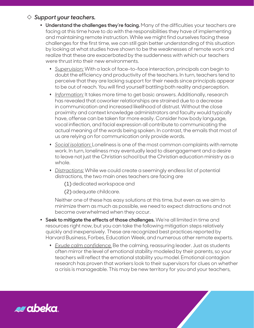#### ◊ *Support your teachers.*

- **Understand the challenges they're facing.** Many of the difficulties your teachers are facing at this time have to do with the responsibilities they have of implementing and maintaining remote instruction. While we might find ourselves facing these challenges for the first time, we can still gain better understanding of this situation by looking at what studies have shown to be the weaknesses of remote work and realize that these are exacerbated by the suddenness with which our teachers were thrust into their new environments.
	- **Superuision:** With a lack of face-to-face interaction, principals can begin to doubt the efficiency and productivity of the teachers. In turn, teachers tend to perceive that they are lacking support for their needs since principals appear to be out of reach. You will find yourself battling both reality and perception.
	- s *Information:* It takes more time to get basic answers. Additionally, research has revealed that coworker relationships are strained due to a decrease in communication and increased likelihood of distrust. Without the close proximity and context knowledge administrators and faculty would typically have, offense can be taken far more easily. Consider how body language, vocal inflection, and facial expression all contribute to communicating the actual meaning of the words being spoken. In contrast, the emails that most of us are relying on for communication only provide words.
	- s *Social isolation:* Loneliness is one of the most common complaints with remote work. In turn, loneliness may eventually lead to disengagement and a desire to leave not just the Christian school but the Christian education ministry as a whole.
	- **Distractions:** While we could create a seemingly endless list of potential distractions, the two main ones teachers are facing are

(1) dedicated workspace and

(2) adequate childcare.

Neither one of these has easy solutions at this time, but even as we aim to minimize them as much as possible, we need to expect distractions and not become overwhelmed when they occur.

- **Seek to mitigate the effects of those challenges.** We're all limited in time and resources right now, but you can take the following mitigation steps relatively quickly and inexpensively. These are recognized best practices reported by Harvard Business, Forbes, Education Week, and numerous other remote experts.
	- s *Exude calm confidence.* Be the calming, reassuring leader. Just as students often mirror the level of emotional stability modeled by their parents, so your teachers will reflect the emotional stability you model. Emotional contagion research has proven that workers look to their supervisors for clues on whether a crisis is manageable. This may be new territory for you and your teachers,

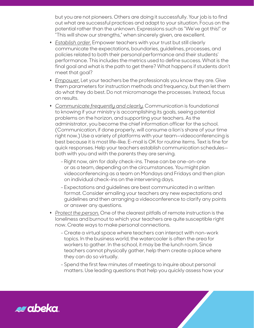but you are not pioneers. Others are doing it successfully. Your job is to find out what are successful practices and adapt to your situation. Focus on the potential rather than the unknown. Expressions such as "We've got this!" or "This will show our strengths," when sincerely given, are excellent.

- s *Establish order.* Empower teachers with your trust but still clearly communicate the expectations, boundaries, guidelines, processes, and policies related to both their personal performance and their students' performance. This includes the metrics used to define success. What is the final goal and what is the path to get there? What happens if students don't meet that goal?
- **\*** *Empower*. Let your teachers be the professionals you know they are. Give them parameters for instruction methods and frequency, but then let them do what they do best. Do not micromanage the processes. Instead, focus on results.
- s *Communicate frequently and clearly.* Communication is foundational to knowing if your ministry is accomplishing its goals, seeing potential problems on the horizon, and supporting your teachers. As the administrator, you become the chief information officer for the school. (Communication, if done properly, will consume a lion's share of your time right now.) Use a variety of platforms with your team—videoconferencing is best because it is most life-like. E-mail is OK for routine items. Text is fine for quick responses. Help your teachers establish communication schedules both with you and with the parents they are serving.
	- *-* Right now, aim for daily check-ins. These can be one-on-one or as a team, depending on the circumstances. You might plan videoconferencing as a team on Mondays and Fridays and then plan on individual check-ins on the intervening days.
	- Expectations and guidelines are best communicated in a written format. Consider emailing your teachers any new expectations and guidelines and then arranging a videoconference to clarify any points or answer any questions.
- s *Protect the person.* One of the clearest pitfalls of remote instruction is the loneliness and burnout to which your teachers are quite susceptible right now. Create ways to make personal connections.
	- Create a virtual space where teachers can interact with non-work topics. In the business world, the watercooler is often the area for workers to gather. In the school, it may be the lunch room. Since teachers cannot physically gather, help them create a place where they can do so virtually.
	- *-* Spend the first few minutes of meetings to inquire about personal matters. Use leading questions that help you quickly assess how your

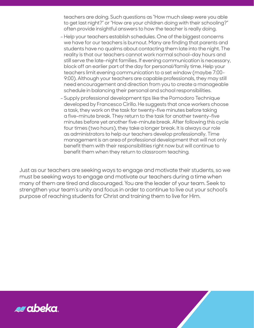teachers are doing. Such questions as "How much sleep were you able to get last night?" or "How are your children doing with their schooling?" often provide insightful answers to how the teacher is really doing.

- Help your teachers establish schedules. One of the biggest concerns we have for our teachers is burnout. Many are finding that parents and students have no qualms about contacting them late into the night. The reality is that our teachers cannot work normal school-day hours and still serve the late-night families. If evening communication is necessary, block off an earlier part of the day for personal/family time. Help your teachers limit evening communication to a set window (maybe 7:00- 9:00). Although your teachers are capable professionals, they may still need encouragement and direction from you to create a manageable schedule in balancing their personal and school responsibilities.
- Supply professional development tips like the Pomodoro Technique developed by Francesco Cirillo. He suggests that once workers choose a task, they work on the task for twenty-five minutes before taking a five-minute break. They return to the task for another twenty-five minutes before yet another five-minute break. After following this cycle four times (two hours), they take a longer break. It is always our role as administrators to help our teachers develop professionally. Time management is an area of professional development that will not only benefit them with their responsibilities right now but will continue to benefit them when they return to classroom teaching.

Just as our teachers are seeking ways to engage and motivate their students, so we must be seeking ways to engage and motivate our teachers during a time when many of them are tired and discouraged. You are the leader of your team. Seek to strengthen your team's unity and focus in order to continue to live out your school's purpose of reaching students for Christ and training them to live for Him.